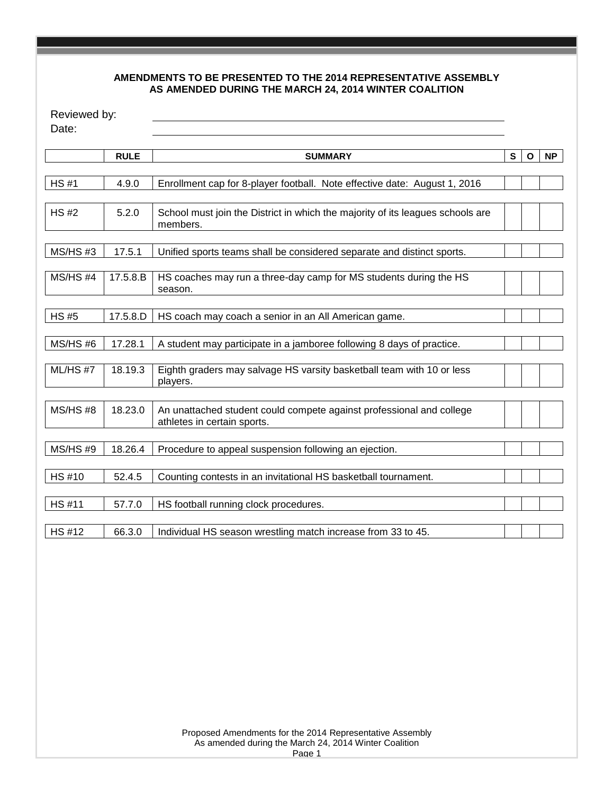#### **AMENDMENTS TO BE PRESENTED TO THE 2014 REPRESENTATIVE ASSEMBLY AS AMENDED DURING THE MARCH 24, 2014 WINTER COALITION**

| Reviewed by:<br>Date: |             |                                                                                                     |   |              |           |
|-----------------------|-------------|-----------------------------------------------------------------------------------------------------|---|--------------|-----------|
|                       | <b>RULE</b> | <b>SUMMARY</b>                                                                                      | S | $\mathbf{o}$ | <b>NP</b> |
| <b>HS#1</b>           | 4.9.0       | Enrollment cap for 8-player football. Note effective date: August 1, 2016                           |   |              |           |
| <b>HS#2</b>           | 5.2.0       | School must join the District in which the majority of its leagues schools are<br>members.          |   |              |           |
| MS/HS#3               | 17.5.1      | Unified sports teams shall be considered separate and distinct sports.                              |   |              |           |
| $MS/HS$ #4            | 17.5.8.B    | HS coaches may run a three-day camp for MS students during the HS<br>season.                        |   |              |           |
| <b>HS#5</b>           | 17.5.8.D    | HS coach may coach a senior in an All American game.                                                |   |              |           |
| <b>MS/HS#6</b>        | 17.28.1     | A student may participate in a jamboree following 8 days of practice.                               |   |              |           |
| $ML/HS$ #7            | 18.19.3     | Eighth graders may salvage HS varsity basketball team with 10 or less<br>players.                   |   |              |           |
| $MS/HS$ #8            | 18.23.0     | An unattached student could compete against professional and college<br>athletes in certain sports. |   |              |           |
| <b>MS/HS#9</b>        | 18.26.4     | Procedure to appeal suspension following an ejection.                                               |   |              |           |
| HS #10                | 52.4.5      | Counting contests in an invitational HS basketball tournament.                                      |   |              |           |
| <b>HS#11</b>          | 57.7.0      | HS football running clock procedures.                                                               |   |              |           |
| <b>HS#12</b>          | 66.3.0      | Individual HS season wrestling match increase from 33 to 45.                                        |   |              |           |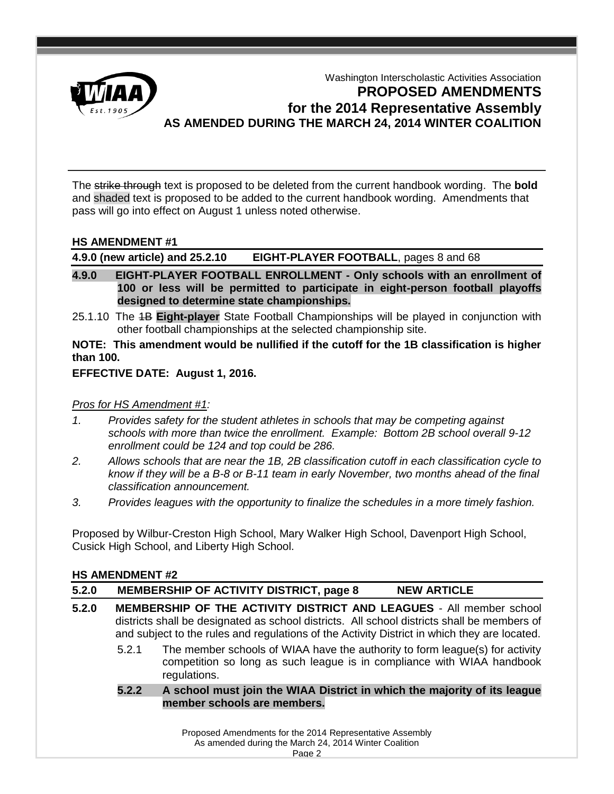

# Washington Interscholastic Activities Association **PROPOSED AMENDMENTS for the 2014 Representative Assembly AS AMENDED DURING THE MARCH 24, 2014 WINTER COALITION**

The strike through text is proposed to be deleted from the current handbook wording. The **bold** and shaded text is proposed to be added to the current handbook wording. Amendments that pass will go into effect on August 1 unless noted otherwise.

#### **HS AMENDMENT #1**

**4.9.0 (new article) and 25.2.10 EIGHT-PLAYER FOOTBALL**, pages 8 and 68

- **4.9.0 EIGHT-PLAYER FOOTBALL ENROLLMENT - Only schools with an enrollment of 100 or less will be permitted to participate in eight-person football playoffs designed to determine state championships.**
- 25.1.10 The 1B **Eight-player** State Football Championships will be played in conjunction with other football championships at the selected championship site.

**NOTE: This amendment would be nullified if the cutoff for the 1B classification is higher than 100.**

#### **EFFECTIVE DATE: August 1, 2016.**

#### *Pros for HS Amendment #1:*

- *1. Provides safety for the student athletes in schools that may be competing against schools with more than twice the enrollment. Example: Bottom 2B school overall 9-12 enrollment could be 124 and top could be 286.*
- *2. Allows schools that are near the 1B, 2B classification cutoff in each classification cycle to know if they will be a B-8 or B-11 team in early November, two months ahead of the final classification announcement.*
- *3. Provides leagues with the opportunity to finalize the schedules in a more timely fashion.*

Proposed by Wilbur-Creston High School, Mary Walker High School, Davenport High School, Cusick High School, and Liberty High School.

#### **HS AMENDMENT #2**

**5.2.0 MEMBERSHIP OF ACTIVITY DISTRICT, page 8 NEW ARTICLE**

- **5.2.0 MEMBERSHIP OF THE ACTIVITY DISTRICT AND LEAGUES** All member school districts shall be designated as school districts. All school districts shall be members of and subject to the rules and regulations of the Activity District in which they are located.
	- 5.2.1 The member schools of WIAA have the authority to form league(s) for activity competition so long as such league is in compliance with WIAA handbook regulations.
	- **5.2.2 A school must join the WIAA District in which the majority of its league member schools are members.**

Proposed Amendments for the 2014 Representative Assembly As amended during the March 24, 2014 Winter Coalition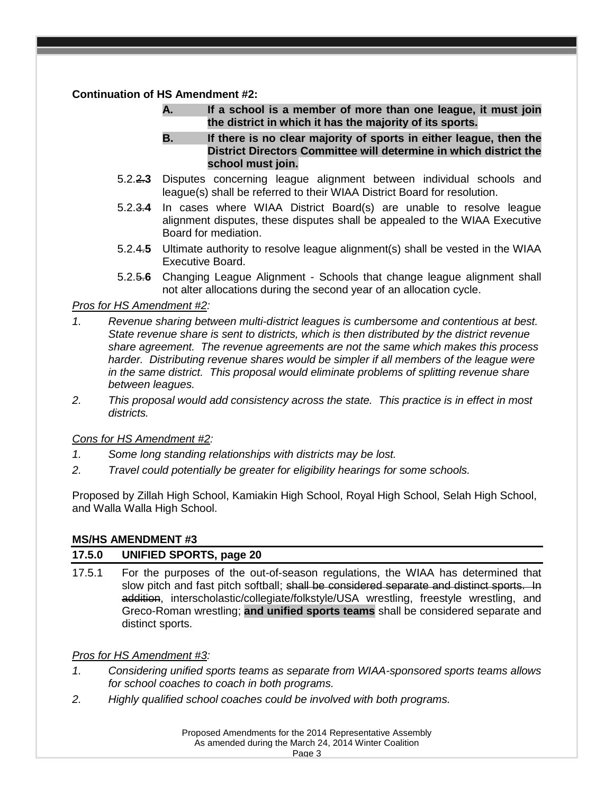## **Continuation of HS Amendment #2:**

- **A. If a school is a member of more than one league, it must join the district in which it has the majority of its sports.**
- **B. If there is no clear majority of sports in either league, then the District Directors Committee will determine in which district the school must join.**
- 5.2.2.**3** Disputes concerning league alignment between individual schools and league(s) shall be referred to their WIAA District Board for resolution.
- 5.2.3.**4** In cases where WIAA District Board(s) are unable to resolve league alignment disputes, these disputes shall be appealed to the WIAA Executive Board for mediation.
- 5.2.4.**5** Ultimate authority to resolve league alignment(s) shall be vested in the WIAA Executive Board.
- 5.2.5.**6** Changing League Alignment Schools that change league alignment shall not alter allocations during the second year of an allocation cycle.

### *Pros for HS Amendment #2:*

- *1. Revenue sharing between multi-district leagues is cumbersome and contentious at best. State revenue share is sent to districts, which is then distributed by the district revenue share agreement. The revenue agreements are not the same which makes this process harder. Distributing revenue shares would be simpler if all members of the league were in the same district. This proposal would eliminate problems of splitting revenue share between leagues.*
- *2. This proposal would add consistency across the state. This practice is in effect in most districts.*

#### *Cons for HS Amendment #2:*

- *1. Some long standing relationships with districts may be lost.*
- *2. Travel could potentially be greater for eligibility hearings for some schools.*

Proposed by Zillah High School, Kamiakin High School, Royal High School, Selah High School, and Walla Walla High School.

#### **MS/HS AMENDMENT #3**

#### **17.5.0 UNIFIED SPORTS, page 20**

17.5.1 For the purposes of the out-of-season regulations, the WIAA has determined that slow pitch and fast pitch softball; shall be considered separate and distinct sports. In addition, interscholastic/collegiate/folkstyle/USA wrestling, freestyle wrestling, and Greco-Roman wrestling; **and unified sports teams** shall be considered separate and distinct sports.

## *Pros for HS Amendment #3:*

- *1. Considering unified sports teams as separate from WIAA-sponsored sports teams allows for school coaches to coach in both programs.*
- *2. Highly qualified school coaches could be involved with both programs.*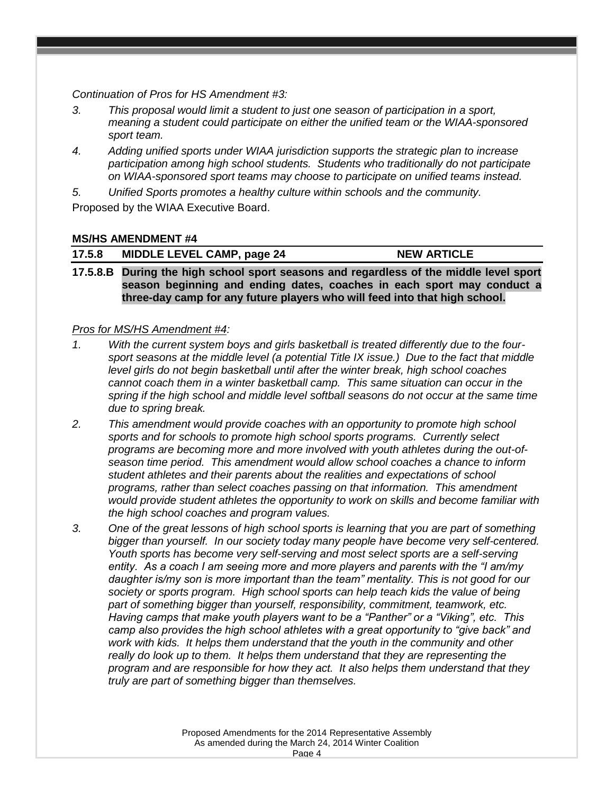*Continuation of Pros for HS Amendment #3:*

- *3. This proposal would limit a student to just one season of participation in a sport, meaning a student could participate on either the unified team or the WIAA-sponsored sport team.*
- *4. Adding unified sports under WIAA jurisdiction supports the strategic plan to increase participation among high school students. Students who traditionally do not participate on WIAA-sponsored sport teams may choose to participate on unified teams instead.*

*5. Unified Sports promotes a healthy culture within schools and the community.* Proposed by the WIAA Executive Board.

### **MS/HS AMENDMENT #4**

|  | 17.5.8 | MIDDLE LEVEL CAMP, page 24 | <b>NEW ARTICLE</b> |
|--|--------|----------------------------|--------------------|
|--|--------|----------------------------|--------------------|

**17.5.8.B During the high school sport seasons and regardless of the middle level sport season beginning and ending dates, coaches in each sport may conduct a three-day camp for any future players who will feed into that high school.**

#### *Pros for MS/HS Amendment #4:*

- *1. With the current system boys and girls basketball is treated differently due to the foursport seasons at the middle level (a potential Title IX issue.) Due to the fact that middle level girls do not begin basketball until after the winter break, high school coaches cannot coach them in a winter basketball camp. This same situation can occur in the spring if the high school and middle level softball seasons do not occur at the same time due to spring break.*
- *2. This amendment would provide coaches with an opportunity to promote high school sports and for schools to promote high school sports programs. Currently select programs are becoming more and more involved with youth athletes during the out-ofseason time period. This amendment would allow school coaches a chance to inform student athletes and their parents about the realities and expectations of school programs, rather than select coaches passing on that information. This amendment would provide student athletes the opportunity to work on skills and become familiar with the high school coaches and program values.*
- *3. One of the great lessons of high school sports is learning that you are part of something bigger than yourself. In our society today many people have become very self-centered. Youth sports has become very self-serving and most select sports are a self-serving entity. As a coach I am seeing more and more players and parents with the "I am/my daughter is/my son is more important than the team" mentality. This is not good for our society or sports program. High school sports can help teach kids the value of being*  part of something bigger than yourself, responsibility, commitment, teamwork, etc. *Having camps that make youth players want to be a "Panther" or a "Viking", etc. This camp also provides the high school athletes with a great opportunity to "give back" and work with kids. It helps them understand that the youth in the community and other really do look up to them. It helps them understand that they are representing the program and are responsible for how they act. It also helps them understand that they truly are part of something bigger than themselves.*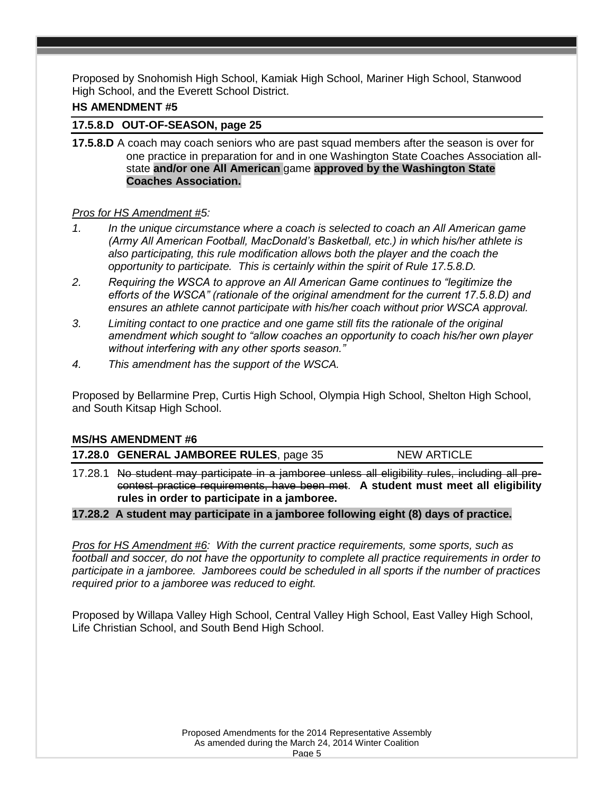Proposed by Snohomish High School, Kamiak High School, Mariner High School, Stanwood High School, and the Everett School District.

#### **HS AMENDMENT #5**

#### **17.5.8.D OUT-OF-SEASON, page 25**

**17.5.8.D** A coach may coach seniors who are past squad members after the season is over for one practice in preparation for and in one Washington State Coaches Association allstate **and/or one All American** game **approved by the Washington State Coaches Association.**

#### *Pros for HS Amendment #5:*

- *1. In the unique circumstance where a coach is selected to coach an All American game (Army All American Football, MacDonald's Basketball, etc.) in which his/her athlete is also participating, this rule modification allows both the player and the coach the opportunity to participate. This is certainly within the spirit of Rule 17.5.8.D.*
- *2. Requiring the WSCA to approve an All American Game continues to "legitimize the efforts of the WSCA" (rationale of the original amendment for the current 17.5.8.D) and ensures an athlete cannot participate with his/her coach without prior WSCA approval.*
- *3. Limiting contact to one practice and one game still fits the rationale of the original amendment which sought to "allow coaches an opportunity to coach his/her own player without interfering with any other sports season."*
- *4. This amendment has the support of the WSCA.*

Proposed by Bellarmine Prep, Curtis High School, Olympia High School, Shelton High School, and South Kitsap High School.

#### **MS/HS AMENDMENT #6**

|  | 17.28.0 GENERAL JAMBOREE RULES, page 35 | <b>NEW ARTICLE</b> |
|--|-----------------------------------------|--------------------|
|--|-----------------------------------------|--------------------|

17.28.1 No student may participate in a jamboree unless all eligibility rules, including all precontest practice requirements, have been met. **A student must meet all eligibility rules in order to participate in a jamboree.**

#### **17.28.2 A student may participate in a jamboree following eight (8) days of practice.**

*Pros for HS Amendment #6: With the current practice requirements, some sports, such as football and soccer, do not have the opportunity to complete all practice requirements in order to participate in a jamboree. Jamborees could be scheduled in all sports if the number of practices required prior to a jamboree was reduced to eight.*

Proposed by Willapa Valley High School, Central Valley High School, East Valley High School, Life Christian School, and South Bend High School.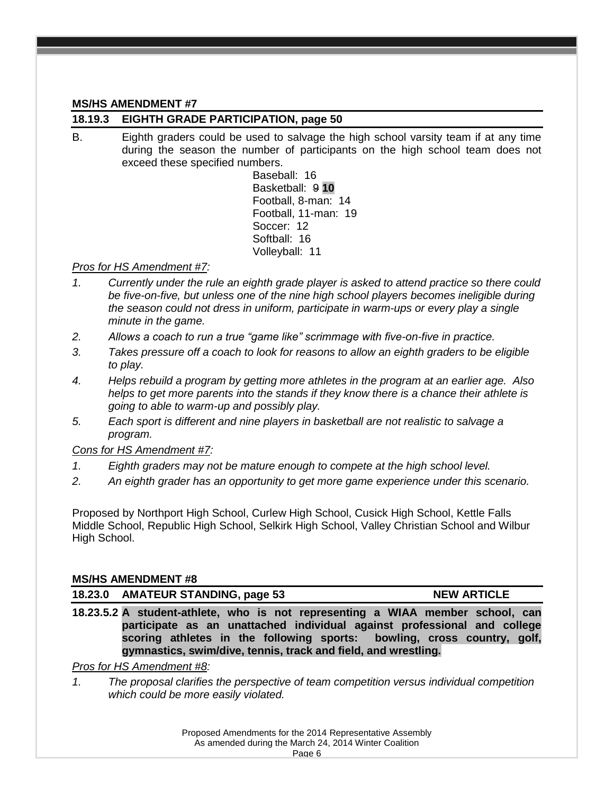#### **MS/HS AMENDMENT #7**

## **18.19.3 EIGHTH GRADE PARTICIPATION, page 50**

B. Eighth graders could be used to salvage the high school varsity team if at any time during the season the number of participants on the high school team does not exceed these specified numbers.

Baseball: 16 Basketball: 9 **10** Football, 8-man: 14 Football, 11-man: 19 Soccer: 12 Softball: 16 Volleyball: 11

## *Pros for HS Amendment #7:*

- *1. Currently under the rule an eighth grade player is asked to attend practice so there could be five-on-five, but unless one of the nine high school players becomes ineligible during the season could not dress in uniform, participate in warm-ups or every play a single minute in the game.*
- *2. Allows a coach to run a true "game like" scrimmage with five-on-five in practice.*
- *3. Takes pressure off a coach to look for reasons to allow an eighth graders to be eligible to play.*
- *4. Helps rebuild a program by getting more athletes in the program at an earlier age. Also helps to get more parents into the stands if they know there is a chance their athlete is going to able to warm-up and possibly play.*
- *5. Each sport is different and nine players in basketball are not realistic to salvage a program.*

*Cons for HS Amendment #7:* 

- *1. Eighth graders may not be mature enough to compete at the high school level.*
- *2. An eighth grader has an opportunity to get more game experience under this scenario.*

Proposed by Northport High School, Curlew High School, Cusick High School, Kettle Falls Middle School, Republic High School, Selkirk High School, Valley Christian School and Wilbur High School.

#### **MS/HS AMENDMENT #8**

18.23.0 AMATEUR STANDING, page 53 NEW ARTICLE

**18.23.5.2 A student-athlete, who is not representing a WIAA member school, can participate as an unattached individual against professional and college scoring athletes in the following sports: bowling, cross country, golf, gymnastics, swim/dive, tennis, track and field, and wrestling.**

#### *Pros for HS Amendment #8:*

*1. The proposal clarifies the perspective of team competition versus individual competition which could be more easily violated.*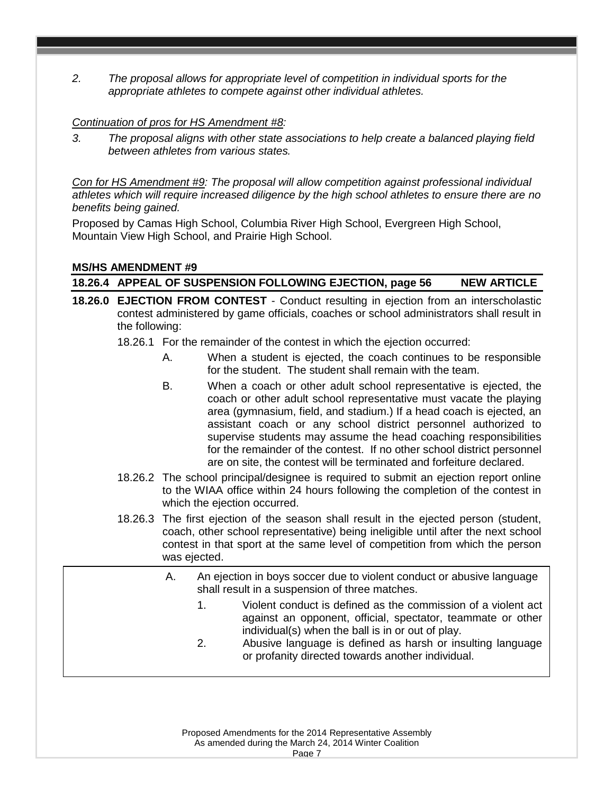*2. The proposal allows for appropriate level of competition in individual sports for the appropriate athletes to compete against other individual athletes.*

#### *Continuation of pros for HS Amendment #8:*

*3. The proposal aligns with other state associations to help create a balanced playing field between athletes from various states.*

*Con for HS Amendment #9: The proposal will allow competition against professional individual athletes which will require increased diligence by the high school athletes to ensure there are no benefits being gained.*

Proposed by Camas High School, Columbia River High School, Evergreen High School, Mountain View High School, and Prairie High School.

### **MS/HS AMENDMENT #9**

**18.26.4 APPEAL OF SUSPENSION FOLLOWING EJECTION, page 56 NEW ARTICLE**

**18.26.0 EJECTION FROM CONTEST** - Conduct resulting in ejection from an interscholastic contest administered by game officials, coaches or school administrators shall result in the following:

18.26.1 For the remainder of the contest in which the ejection occurred:

- A. When a student is ejected, the coach continues to be responsible for the student. The student shall remain with the team.
- B. When a coach or other adult school representative is ejected, the coach or other adult school representative must vacate the playing area (gymnasium, field, and stadium.) If a head coach is ejected, an assistant coach or any school district personnel authorized to supervise students may assume the head coaching responsibilities for the remainder of the contest. If no other school district personnel are on site, the contest will be terminated and forfeiture declared.
- 18.26.2 The school principal/designee is required to submit an ejection report online to the WIAA office within 24 hours following the completion of the contest in which the ejection occurred.
- 18.26.3 The first ejection of the season shall result in the ejected person (student, coach, other school representative) being ineligible until after the next school contest in that sport at the same level of competition from which the person was ejected.
- A. An ejection in boys soccer due to violent conduct or abusive language person in experson and to meet represent conduct of assemble unigers shall result in a suspension of three matches.
	- ext sect that supperfect in the same level of competition.<br>1. Violent conduct is defined as the commission of a violent act From which the person was the commission of a violent act<br>against an opponent, official, spectator, teammate or other a james on opposes, ontour, opposes in community of called the individual(s) when the ball is in or out of play.
	- 2. Abusive language is defined as harsh or insulting language or profanity directed towards another individual.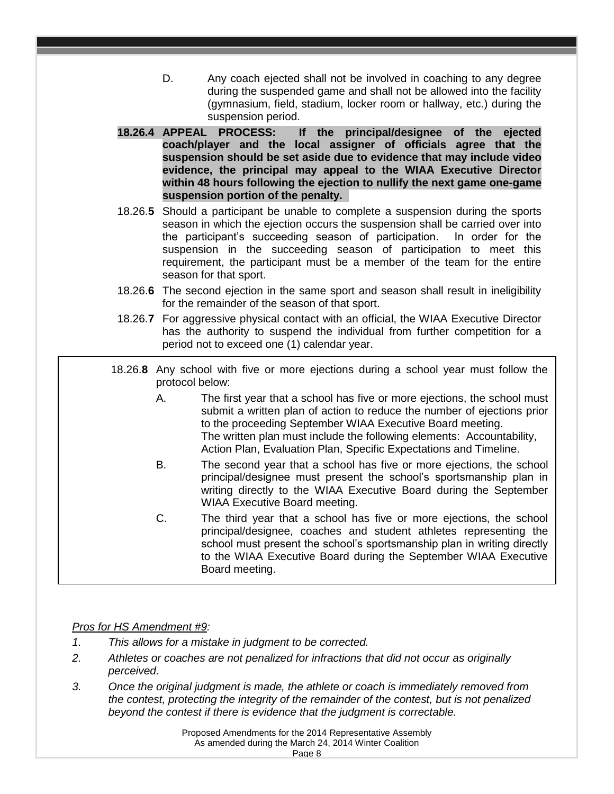- D. Any coach ejected shall not be involved in coaching to any degree during the suspended game and shall not be allowed into the facility (gymnasium, field, stadium, locker room or hallway, etc.) during the suspension period.
- **18.26.4 APPEAL PROCESS: If the principal/designee of the ejected coach/player and the local assigner of officials agree that the suspension should be set aside due to evidence that may include video evidence, the principal may appeal to the WIAA Executive Director within 48 hours following the ejection to nullify the next game one-game suspension portion of the penalty.**
- 18.26.**5** Should a participant be unable to complete a suspension during the sports season in which the ejection occurs the suspension shall be carried over into the participant's succeeding season of participation. In order for the suspension in the succeeding season of participation to meet this requirement, the participant must be a member of the team for the entire season for that sport.
- 18.26.**6** The second ejection in the same sport and season shall result in ineligibility for the remainder of the season of that sport.
- 18.26.**7** For aggressive physical contact with an official, the WIAA Executive Director has the authority to suspend the individual from further competition for a period not to exceed one (1) calendar year.
- 18.26.**8** Any school with five or more ejections during a school year must follow the protocol below:
	- A. The first year that a school has five or more ejections, the school must submit a written plan of action to reduce the number of ejections prior to the proceeding September WIAA Executive Board meeting. The written plan must include the following elements: Accountability, Action Plan, Evaluation Plan, Specific Expectations and Timeline.
	- B. The second year that a school has five or more ejections, the school principal/designee must present the school's sportsmanship plan in writing directly to the WIAA Executive Board during the September WIAA Executive Board meeting.
	- C. The third year that a school has five or more ejections, the school principal/designee, coaches and student athletes representing the school must present the school's sportsmanship plan in writing directly to the WIAA Executive Board during the September WIAA Executive Board meeting.

#### *Pros for HS Amendment #9:*

- *1. This allows for a mistake in judgment to be corrected.*
- *2. Athletes or coaches are not penalized for infractions that did not occur as originally perceived.*
- *3. Once the original judgment is made, the athlete or coach is immediately removed from the contest, protecting the integrity of the remainder of the contest, but is not penalized beyond the contest if there is evidence that the judgment is correctable.*

Proposed Amendments for the 2014 Representative Assembly As amended during the March 24, 2014 Winter Coalition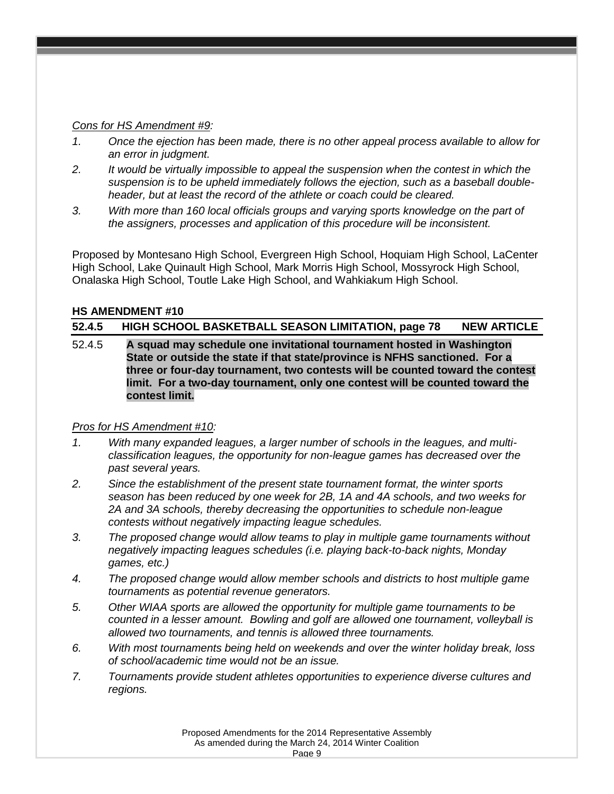### *Cons for HS Amendment #9:*

- *1. Once the ejection has been made, there is no other appeal process available to allow for an error in judgment.*
- *2. It would be virtually impossible to appeal the suspension when the contest in which the suspension is to be upheld immediately follows the ejection, such as a baseball doubleheader, but at least the record of the athlete or coach could be cleared.*
- *3. With more than 160 local officials groups and varying sports knowledge on the part of the assigners, processes and application of this procedure will be inconsistent.*

Proposed by Montesano High School, Evergreen High School, Hoquiam High School, LaCenter High School, Lake Quinault High School, Mark Morris High School, Mossyrock High School, Onalaska High School, Toutle Lake High School, and Wahkiakum High School.

### **HS AMENDMENT #10**

**52.4.5 HIGH SCHOOL BASKETBALL SEASON LIMITATION, page 78 NEW ARTICLE** 

52.4.5 **A squad may schedule one invitational tournament hosted in Washington State or outside the state if that state/province is NFHS sanctioned. For a three or four-day tournament, two contests will be counted toward the contest limit. For a two-day tournament, only one contest will be counted toward the contest limit.**

## *Pros for HS Amendment #10:*

- *1. With many expanded leagues, a larger number of schools in the leagues, and multiclassification leagues, the opportunity for non-league games has decreased over the past several years.*
- *2. Since the establishment of the present state tournament format, the winter sports season has been reduced by one week for 2B, 1A and 4A schools, and two weeks for 2A and 3A schools, thereby decreasing the opportunities to schedule non-league contests without negatively impacting league schedules.*
- *3. The proposed change would allow teams to play in multiple game tournaments without negatively impacting leagues schedules (i.e. playing back-to-back nights, Monday games, etc.)*
- *4. The proposed change would allow member schools and districts to host multiple game tournaments as potential revenue generators.*
- *5. Other WIAA sports are allowed the opportunity for multiple game tournaments to be counted in a lesser amount. Bowling and golf are allowed one tournament, volleyball is allowed two tournaments, and tennis is allowed three tournaments.*
- *6. With most tournaments being held on weekends and over the winter holiday break, loss of school/academic time would not be an issue.*
- *7. Tournaments provide student athletes opportunities to experience diverse cultures and regions.*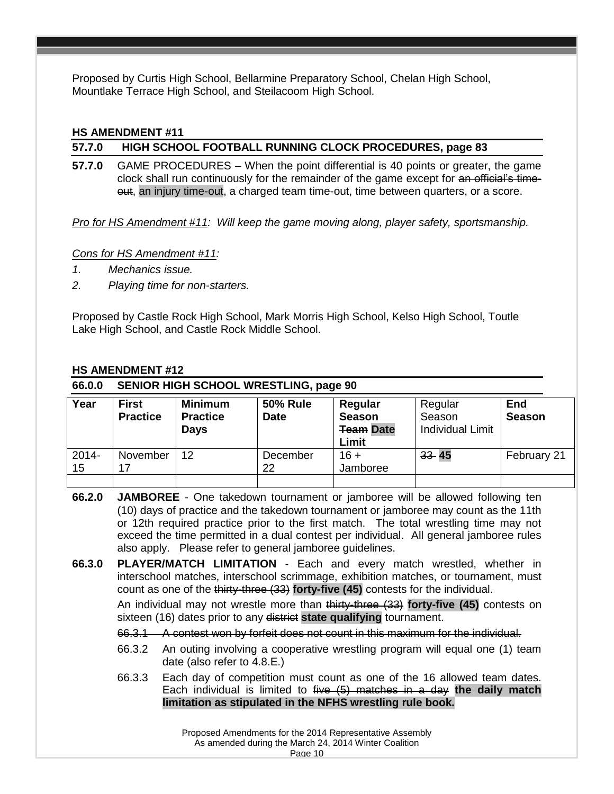Proposed by Curtis High School, Bellarmine Preparatory School, Chelan High School, Mountlake Terrace High School, and Steilacoom High School.

#### **HS AMENDMENT #11**

### **57.7.0 HIGH SCHOOL FOOTBALL RUNNING CLOCK PROCEDURES, page 83**

**57.7.0** GAME PROCEDURES – When the point differential is 40 points or greater, the game clock shall run continuously for the remainder of the game except for an official's timeout, an injury time-out, a charged team time-out, time between quarters, or a score.

*Pro for HS Amendment #11: Will keep the game moving along, player safety, sportsmanship.*

*Cons for HS Amendment #11:* 

- *1. Mechanics issue.*
- *2. Playing time for non-starters.*

Proposed by Castle Rock High School, Mark Morris High School, Kelso High School, Toutle Lake High School, and Castle Rock Middle School.

#### **HS AMENDMENT #12**

| 66.0.0         | <b>SENIOR HIGH SCHOOL WRESTLING, page 90</b> |                                                  |                                |                                                       |                                              |                             |
|----------------|----------------------------------------------|--------------------------------------------------|--------------------------------|-------------------------------------------------------|----------------------------------------------|-----------------------------|
| Year           | <b>First</b><br><b>Practice</b>              | <b>Minimum</b><br><b>Practice</b><br><b>Days</b> | <b>50% Rule</b><br><b>Date</b> | Regular<br><b>Season</b><br><b>Team Date</b><br>Limit | Regular<br>Season<br><b>Individual Limit</b> | <b>End</b><br><b>Season</b> |
| $2014 -$<br>15 | November<br>17                               | 12                                               | December<br>22                 | $16 +$<br>Jamboree                                    | $33 - 45$                                    | February 21                 |

**<sup>66.2.0</sup> JAMBOREE** - One takedown tournament or jamboree will be allowed following ten (10) days of practice and the takedown tournament or jamboree may count as the 11th or 12th required practice prior to the first match. The total wrestling time may not exceed the time permitted in a dual contest per individual. All general jamboree rules also apply. Please refer to general jamboree guidelines.

**66.3.0 PLAYER/MATCH LIMITATION** - Each and every match wrestled, whether in interschool matches, interschool scrimmage, exhibition matches, or tournament, must count as one of the thirty-three (33) **forty-five (45)** contests for the individual.

An individual may not wrestle more than thirty-three (33) **forty-five (45)** contests on sixteen (16) dates prior to any district **state qualifying** tournament.

- 66.3.1 A contest won by forfeit does not count in this maximum for the individual.
- 66.3.2 An outing involving a cooperative wrestling program will equal one (1) team date (also refer to 4.8.E.)
- 66.3.3 Each day of competition must count as one of the 16 allowed team dates. Each individual is limited to five (5) matches in a day **the daily match limitation as stipulated in the NFHS wrestling rule book.**

Proposed Amendments for the 2014 Representative Assembly As amended during the March 24, 2014 Winter Coalition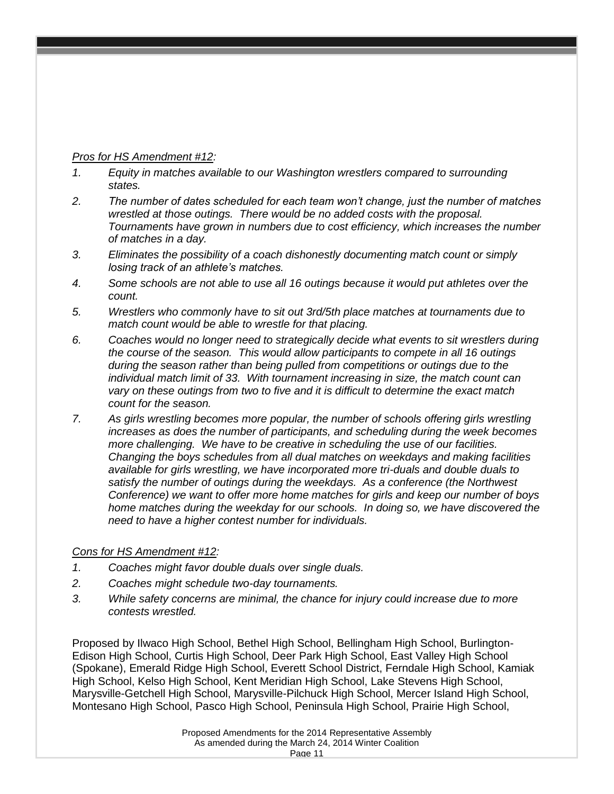## *Pros for HS Amendment #12:*

- *1. Equity in matches available to our Washington wrestlers compared to surrounding states.*
- *2. The number of dates scheduled for each team won't change, just the number of matches wrestled at those outings. There would be no added costs with the proposal. Tournaments have grown in numbers due to cost efficiency, which increases the number of matches in a day.*
- *3. Eliminates the possibility of a coach dishonestly documenting match count or simply losing track of an athlete's matches.*
- *4. Some schools are not able to use all 16 outings because it would put athletes over the count.*
- *5. Wrestlers who commonly have to sit out 3rd/5th place matches at tournaments due to match count would be able to wrestle for that placing.*
- *6. Coaches would no longer need to strategically decide what events to sit wrestlers during the course of the season. This would allow participants to compete in all 16 outings during the season rather than being pulled from competitions or outings due to the individual match limit of 33. With tournament increasing in size, the match count can vary on these outings from two to five and it is difficult to determine the exact match count for the season.*
- *7. As girls wrestling becomes more popular, the number of schools offering girls wrestling increases as does the number of participants, and scheduling during the week becomes more challenging. We have to be creative in scheduling the use of our facilities. Changing the boys schedules from all dual matches on weekdays and making facilities available for girls wrestling, we have incorporated more tri-duals and double duals to satisfy the number of outings during the weekdays. As a conference (the Northwest Conference) we want to offer more home matches for girls and keep our number of boys home matches during the weekday for our schools. In doing so, we have discovered the need to have a higher contest number for individuals.*

#### *Cons for HS Amendment #12:*

- *1. Coaches might favor double duals over single duals.*
- *2. Coaches might schedule two-day tournaments.*
- *3. While safety concerns are minimal, the chance for injury could increase due to more contests wrestled.*

Proposed by Ilwaco High School, Bethel High School, Bellingham High School, Burlington-Edison High School, Curtis High School, Deer Park High School, East Valley High School (Spokane), Emerald Ridge High School, Everett School District, Ferndale High School, Kamiak High School, Kelso High School, Kent Meridian High School, Lake Stevens High School, Marysville-Getchell High School, Marysville-Pilchuck High School, Mercer Island High School, Montesano High School, Pasco High School, Peninsula High School, Prairie High School,